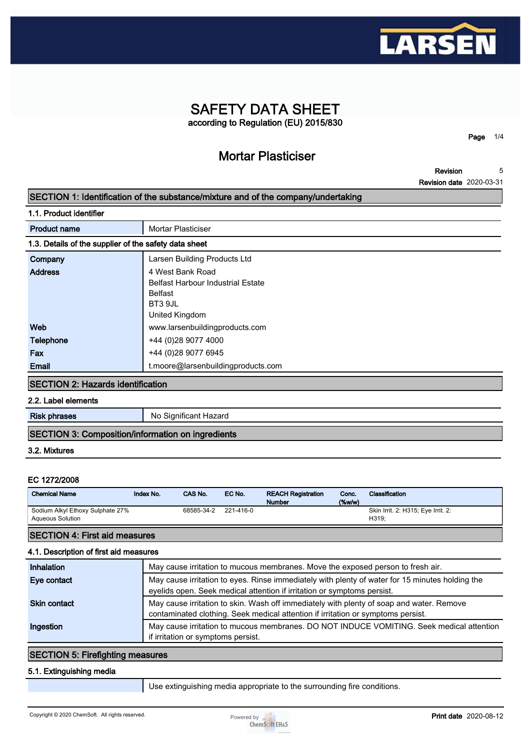

### **SAFETY DATA SHEET according to Regulation (EU) 2015/830**

**Mortar Plasticiser**

**Page 1/4**

**Revision Revision date 2020-03-31 5**

#### **SECTION 1: Identification of the substance/mixture and of the company/undertaking**

| <b>Product name</b>                                   | <b>Mortar Plasticiser</b>                |
|-------------------------------------------------------|------------------------------------------|
| 1.3. Details of the supplier of the safety data sheet |                                          |
| Company                                               | Larsen Building Products Ltd             |
| <b>Address</b>                                        | 4 West Bank Road                         |
|                                                       | <b>Belfast Harbour Industrial Estate</b> |
|                                                       | <b>Belfast</b>                           |
|                                                       | BT3 9JL                                  |
|                                                       | United Kingdom                           |
| Web                                                   | www.larsenbuildingproducts.com           |
| Telephone                                             | +44 (0)28 9077 4000                      |
| Fax                                                   | +44 (0)28 9077 6945                      |
| Email                                                 | t.moore@larsenbuildingproducts.com       |
|                                                       |                                          |

#### **SECTION 2: Hazards identification**

**2.2. Label elements**

**Risk phrases** No Significant Hazard

#### **SECTION 3: Composition/information on ingredients**

#### **3.2. Mixtures**

#### **EC 1272/2008**

| Sodium Alkyl Ethoxy Sulphate 27%<br>221-416-0<br>68585-34-2<br>Skin Irrit. 2: H315; Eye Irrit. 2:<br>H319:<br><b>Agueous Solution</b> | <b>Chemical Name</b> | Index No. | CAS No. | EC No. | <b>REACH Registration</b><br><b>Number</b> | Conc.<br>$(\%w/w)$ | Classification |
|---------------------------------------------------------------------------------------------------------------------------------------|----------------------|-----------|---------|--------|--------------------------------------------|--------------------|----------------|
|                                                                                                                                       |                      |           |         |        |                                            |                    |                |

### **SECTION 4: First aid measures**

#### **4.1. Description of first aid measures**

| <b>Inhalation</b>   | May cause irritation to mucous membranes. Move the exposed person to fresh air.                                                                                              |
|---------------------|------------------------------------------------------------------------------------------------------------------------------------------------------------------------------|
| Eye contact         | May cause irritation to eyes. Rinse immediately with plenty of water for 15 minutes holding the<br>eyelids open. Seek medical attention if irritation or symptoms persist.   |
| <b>Skin contact</b> | May cause irritation to skin. Wash off immediately with plenty of soap and water. Remove<br>contaminated clothing. Seek medical attention if irritation or symptoms persist. |
| Ingestion           | May cause irritation to mucous membranes. DO NOT INDUCE VOMITING. Seek medical attention<br>if irritation or symptoms persist.                                               |

#### **SECTION 5: Firefighting measures**

#### **5.1. Extinguishing media**

**Use extinguishing media appropriate to the surrounding fire conditions.**

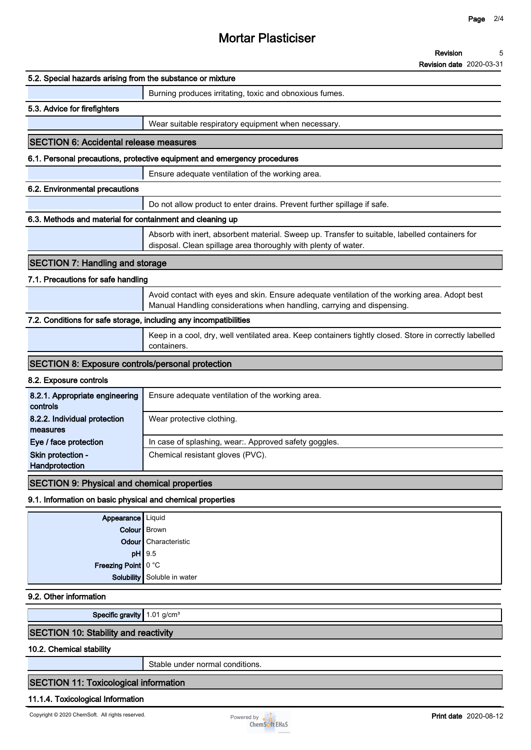### **Mortar Plasticiser**

#### **Revision 5**

**Revision date 2020-03-31**

| 5.2. Special hazards arising from the substance or mixture        |                                                                                                                                                                         |
|-------------------------------------------------------------------|-------------------------------------------------------------------------------------------------------------------------------------------------------------------------|
|                                                                   | Burning produces irritating, toxic and obnoxious fumes.                                                                                                                 |
| 5.3. Advice for firefighters                                      |                                                                                                                                                                         |
|                                                                   | Wear suitable respiratory equipment when necessary.                                                                                                                     |
| <b>SECTION 6: Accidental release measures</b>                     |                                                                                                                                                                         |
|                                                                   | 6.1. Personal precautions, protective equipment and emergency procedures                                                                                                |
|                                                                   | Ensure adequate ventilation of the working area.                                                                                                                        |
| 6.2. Environmental precautions                                    |                                                                                                                                                                         |
|                                                                   | Do not allow product to enter drains. Prevent further spillage if safe.                                                                                                 |
| 6.3. Methods and material for containment and cleaning up         |                                                                                                                                                                         |
|                                                                   | Absorb with inert, absorbent material. Sweep up. Transfer to suitable, labelled containers for                                                                          |
|                                                                   | disposal. Clean spillage area thoroughly with plenty of water.                                                                                                          |
| <b>SECTION 7: Handling and storage</b>                            |                                                                                                                                                                         |
| 7.1. Precautions for safe handling                                |                                                                                                                                                                         |
|                                                                   | Avoid contact with eyes and skin. Ensure adequate ventilation of the working area. Adopt best<br>Manual Handling considerations when handling, carrying and dispensing. |
| 7.2. Conditions for safe storage, including any incompatibilities |                                                                                                                                                                         |
|                                                                   | Keep in a cool, dry, well ventilated area. Keep containers tightly closed. Store in correctly labelled<br>containers.                                                   |
| <b>SECTION 8: Exposure controls/personal protection</b>           |                                                                                                                                                                         |
| 8.2. Exposure controls                                            |                                                                                                                                                                         |
| 8.2.1. Appropriate engineering<br>controls                        | Ensure adequate ventilation of the working area.                                                                                                                        |
| 8.2.2. Individual protection<br>measures                          | Wear protective clothing.                                                                                                                                               |
| Eye / face protection                                             | In case of splashing, wear:. Approved safety goggles.                                                                                                                   |
| Skin protection -<br>Handprotection                               | Chemical resistant gloves (PVC).                                                                                                                                        |
|                                                                   |                                                                                                                                                                         |
| <b>SECTION 9: Physical and chemical properties</b>                |                                                                                                                                                                         |
| 9.1. Information on basic physical and chemical properties        |                                                                                                                                                                         |
| Appearance   Liquid                                               |                                                                                                                                                                         |
| Odour                                                             | Colour Brown<br>Characteristic                                                                                                                                          |
|                                                                   | $pH$   9.5                                                                                                                                                              |
| Freezing Point 0 °C                                               |                                                                                                                                                                         |
| Solubility                                                        | Soluble in water                                                                                                                                                        |
| 9.2. Other information                                            |                                                                                                                                                                         |
| Specific gravity 1.01 g/cm <sup>3</sup>                           |                                                                                                                                                                         |
| <b>SECTION 10: Stability and reactivity</b>                       |                                                                                                                                                                         |
| 10.2. Chemical stability                                          |                                                                                                                                                                         |
|                                                                   |                                                                                                                                                                         |

**Stable under normal conditions.**

#### **SECTION 11: Toxicological information**

#### **11.1.4. Toxicological Information**

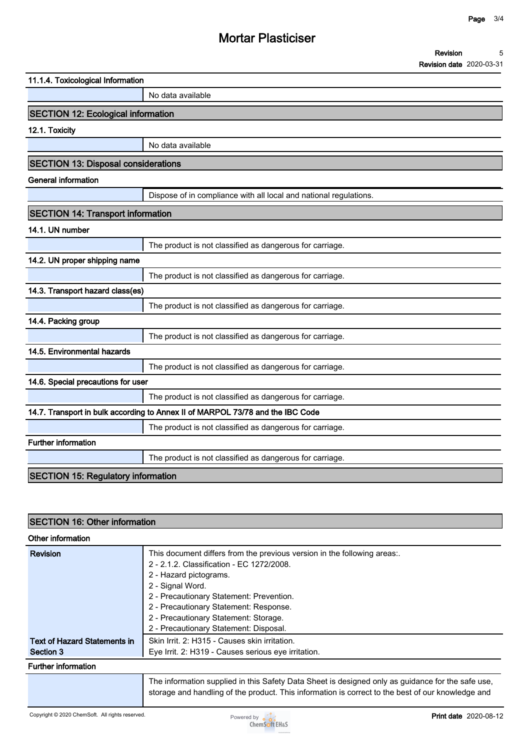## **Mortar Plasticiser**

| Revision                        |  |
|---------------------------------|--|
| <b>Revision date 2020-03-31</b> |  |

| 11.1.4. Toxicological Information          |                                                                                |  |
|--------------------------------------------|--------------------------------------------------------------------------------|--|
|                                            | No data available                                                              |  |
| <b>SECTION 12: Ecological information</b>  |                                                                                |  |
| 12.1. Toxicity                             |                                                                                |  |
|                                            | No data available                                                              |  |
| <b>SECTION 13: Disposal considerations</b> |                                                                                |  |
| <b>General information</b>                 |                                                                                |  |
|                                            | Dispose of in compliance with all local and national regulations.              |  |
| <b>SECTION 14: Transport information</b>   |                                                                                |  |
| 14.1. UN number                            |                                                                                |  |
|                                            | The product is not classified as dangerous for carriage.                       |  |
| 14.2. UN proper shipping name              |                                                                                |  |
|                                            | The product is not classified as dangerous for carriage.                       |  |
| 14.3. Transport hazard class(es)           |                                                                                |  |
|                                            | The product is not classified as dangerous for carriage.                       |  |
| 14.4. Packing group                        |                                                                                |  |
|                                            | The product is not classified as dangerous for carriage.                       |  |
| 14.5. Environmental hazards                |                                                                                |  |
|                                            | The product is not classified as dangerous for carriage.                       |  |
| 14.6. Special precautions for user         |                                                                                |  |
|                                            | The product is not classified as dangerous for carriage.                       |  |
|                                            | 14.7. Transport in bulk according to Annex II of MARPOL 73/78 and the IBC Code |  |
|                                            | The product is not classified as dangerous for carriage.                       |  |
| Further information                        |                                                                                |  |
|                                            | The product is not classified as dangerous for carriage.                       |  |
| <b>SECTION 15: Regulatory information</b>  |                                                                                |  |
|                                            |                                                                                |  |

# **SECTION 16: Other information**

| Other information                   |                                                                                                                                                                                                        |
|-------------------------------------|--------------------------------------------------------------------------------------------------------------------------------------------------------------------------------------------------------|
| Revision                            | This document differs from the previous version in the following areas:.                                                                                                                               |
|                                     | 2 - 2.1.2. Classification - EC 1272/2008.                                                                                                                                                              |
|                                     | 2 - Hazard pictograms.                                                                                                                                                                                 |
|                                     | 2 - Signal Word.                                                                                                                                                                                       |
|                                     | 2 - Precautionary Statement: Prevention.                                                                                                                                                               |
|                                     | 2 - Precautionary Statement: Response.                                                                                                                                                                 |
|                                     | 2 - Precautionary Statement: Storage.                                                                                                                                                                  |
|                                     | 2 - Precautionary Statement: Disposal.                                                                                                                                                                 |
| <b>Text of Hazard Statements in</b> | Skin Irrit. 2: H315 - Causes skin irritation.                                                                                                                                                          |
| Section 3                           | Eye Irrit. 2: H319 - Causes serious eye irritation.                                                                                                                                                    |
| <b>Further information</b>          |                                                                                                                                                                                                        |
|                                     | The information supplied in this Safety Data Sheet is designed only as guidance for the safe use,<br>storage and handling of the product. This information is correct to the best of our knowledge and |